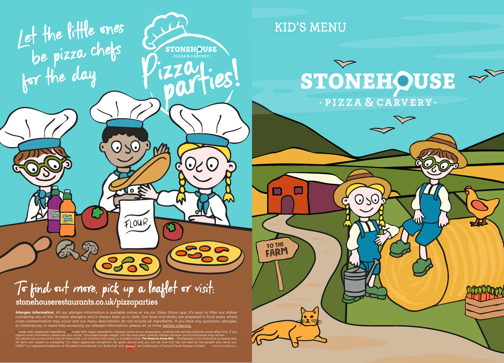